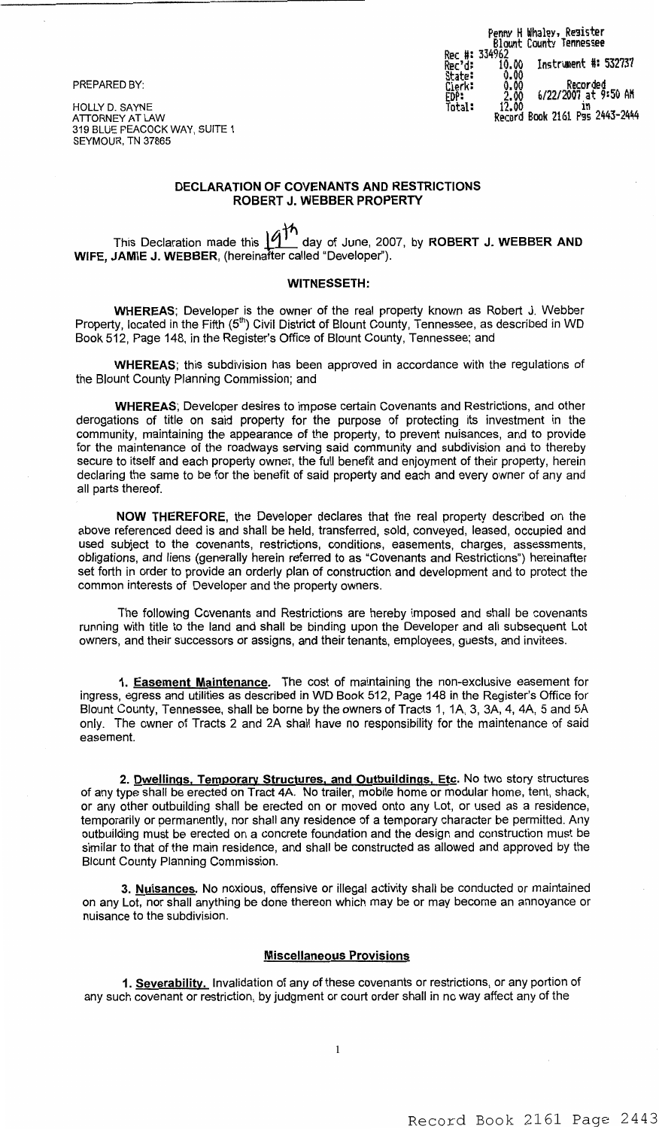### PREPARED BY:

HOLLY D. SAYNE ATTORNEY AT LAW 319 BLUE PEACOCK WAY, SUITE 1 SEYMOUR. TN 37865

|                                    |                                | Penny H Whaley, Resister<br>Blount County Tennessee |
|------------------------------------|--------------------------------|-----------------------------------------------------|
| Rec'd:<br>State:<br>Clerk:<br>EDP: | Rec #: 334962<br>10.00<br>0.00 | Instrument #: 532737                                |
|                                    | 0.00<br>2.00                   | Recorded<br>6/22/2007 at 9:50 AM                    |
| Total:                             | 12.00                          | ın<br>Record Book 2161 Pss 2443-2444                |

## **DECLARATION OF COVENANTS AND RESTRICTIONS** ROBERT J. WEBBER PROPERTY

This Declaration made this  $\frac{\hat{A}^{\dagger h}}{h}$  day of June, 2007, by ROBERT J. WEBBER AND WIFE, JAMIE J. WEBBER, (hereinafter called "Developer").

### **WITNESSETH:**

WHEREAS; Developer is the owner of the real property known as Robert J. Webber Property, located in the Fifth (5<sup>th</sup>) Civil District of Blount County, Tennessee, as described in WD<br>Book 512, Page 148, in the Register's Office of Blount County, Tennessee; and

WHEREAS; this subdivision has been approved in accordance with the regulations of the Blount County Planning Commission; and

**WHEREAS:** Developer desires to impose certain Covenants and Restrictions, and other derogations of title on said property for the purpose of protecting its investment in the community, maintaining the appearance of the property, to prevent nuisances, and to provide for the maintenance of the roadways serving said community and subdivision and to thereby secure to itself and each property owner, the full benefit and enjoyment of their property, herein declaring the same to be for the benefit of said property and each and every owner of any and all parts thereof.

NOW THEREFORE, the Developer declares that the real property described on the above referenced deed is and shall be held, transferred, sold, conveyed, leased, occupied and used subject to the covenants, restrictions, conditions, easements, charges, assessments, obligations, and liens (generally herein referred to as "Covenants and Restrictions") hereinafter set forth in order to provide an orderly plan of construction and development and to protect the common interests of Developer and the property owners.

The following Covenants and Restrictions are hereby imposed and shall be covenants running with title to the land and shall be binding upon the Developer and all subsequent Lot owners, and their successors or assigns, and their tenants, employees, guests, and invitees.

1. Easement Maintenance. The cost of maintaining the non-exclusive easement for ingress, egress and utilities as described in WD Book 512, Page 148 in the Register's Office for Blount County, Tennessee, shall be borne by the owners of Tracts 1, 1A, 3, 3A, 4, 4A, 5 and 5A only. The owner of Tracts 2 and 2A shall have no responsibility for the maintenance of said easement

2. Dwellings, Temporary Structures, and Outbuildings, Etc. No two story structures of any type shall be erected on Tract 4A. No trailer, mobile home or modular home, tent, shack, or any other outbuilding shall be erected on or moved onto any Lot, or used as a residence, temporarily or permanently, nor shall any residence of a temporary character be permitted. Any outbuilding must be erected on a concrete foundation and the design and construction must be similar to that of the main residence, and shall be constructed as allowed and approved by the **Blount County Planning Commission.** 

3. Nuisances. No noxious, offensive or illegal activity shall be conducted or maintained on any Lot, nor shall anything be done thereon which may be or may become an annoyance or nuisance to the subdivision.

### **Miscellaneous Provisions**

1. Severability. Invalidation of any of these covenants or restrictions, or any portion of any such covenant or restriction, by judgment or court order shall in no way affect any of the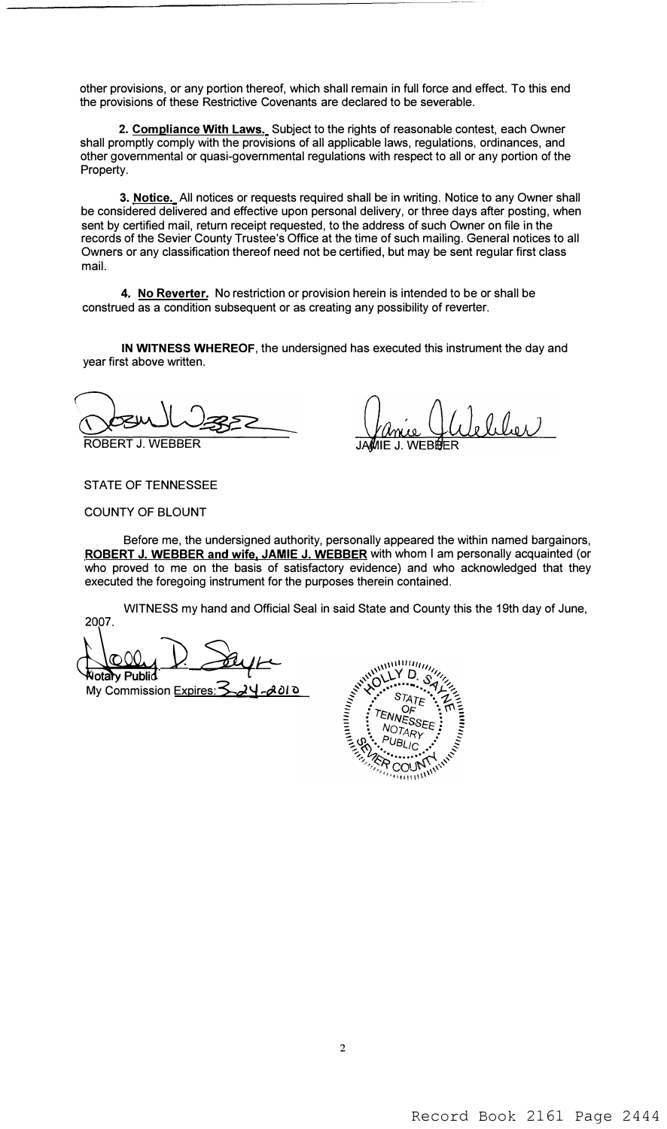other provisions, or any portion thereof, which shall remain in full force and effect. To this end the provisions of these Restrictive Covenants are declared to be severable.

**2. Compliance With Laws.** Subject to the rights of reasonable contest, each Owner shall promptly comply with the provisions of all applicable laws, regulations, ordinances, and other governmental or quasi-governmental regulations with respect to all or any portion of the Property.

**3. Notice.** All notices or requests required shall be in writing. Notice to any Owner shall be considered delivered and effective upon personal delivery, or three days after posting, when sent by certified mail, return receipt requested, to the address of such Owner on file in the records of the Sevier County Trustee's Office at the time of such mailing. General notices to all Owners or any classification thereof need not be certified, but may be sent regular first class mail.

**4. No Reverter.** No restriction or provision herein is intended to be or shall be construed as a condition subsequent or as creating any possibility of *reverter.*

**IN WITNESS WHEREOF,** the undersigned has executed this instrument the day and year first above written.

ROBERT J. WEBBER

eliler IIF J WFRI

STATE OF TENNESSEE

COUNTY OF BLOUNT

Before me, the undersigned authority, personally appeared the within named bargainors, **ROBERT J. WEBBER and wife. JAMIE J. WEBBER** with whom I am personally acquainted (or who proved to me on the basis of satisfactory evidence) and who acknowledged that they executed the foregoing instrument for the purposes therein contained.

WITNESS my hand and Official Seal in said State and County this the 19th day of June, 2007.

<u>COOL</u> D. Say 1.<br>Wota Public My Commission Expires: 3\_24-2010